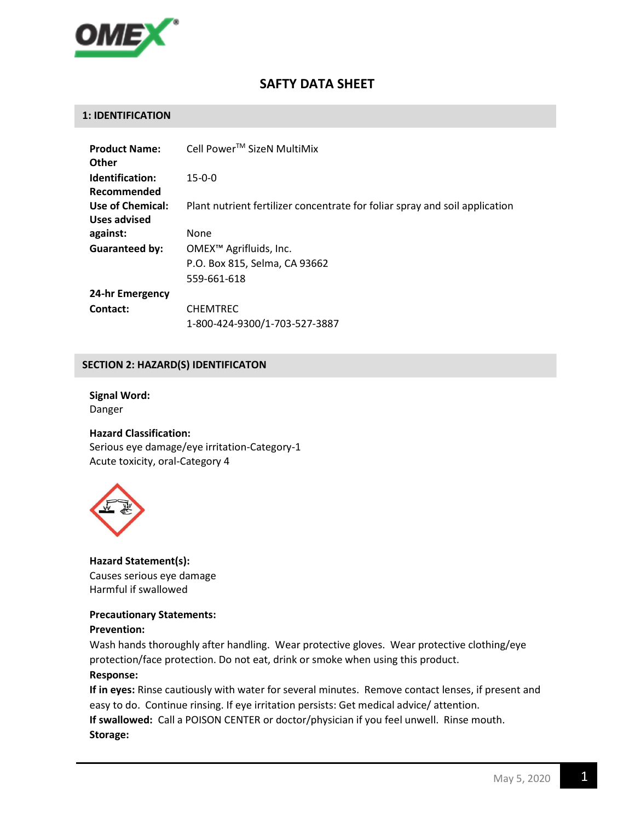

# SAFTY DATA SHEET

## 1: IDENTIFICATION

| <b>Product Name:</b><br>Other    | Cell Power™ SizeN MultiMix                                                         |
|----------------------------------|------------------------------------------------------------------------------------|
| Identification:<br>Recommended   | $15 - 0 - 0$                                                                       |
| Use of Chemical:<br>Uses advised | Plant nutrient fertilizer concentrate for foliar spray and soil application        |
| against:                         | None                                                                               |
| <b>Guaranteed by:</b>            | OMEX <sup>™</sup> Agrifluids, Inc.<br>P.O. Box 815, Selma, CA 93662<br>559-661-618 |
| 24-hr Emergency                  |                                                                                    |
| Contact:                         | <b>CHEMTREC</b><br>1-800-424-9300/1-703-527-3887                                   |

## SECTION 2: HAZARD(S) IDENTIFICATON

# Signal Word: Danger

# Hazard Classification:

Serious eye damage/eye irritation-Category-1 Acute toxicity, oral-Category 4



Hazard Statement(s): Causes serious eye damage Harmful if swallowed

#### Precautionary Statements:

#### Prevention:

Wash hands thoroughly after handling. Wear protective gloves. Wear protective clothing/eye protection/face protection. Do not eat, drink or smoke when using this product.

#### Response:

If in eyes: Rinse cautiously with water for several minutes. Remove contact lenses, if present and easy to do. Continue rinsing. If eye irritation persists: Get medical advice/ attention. If swallowed: Call a POISON CENTER or doctor/physician if you feel unwell. Rinse mouth. Storage: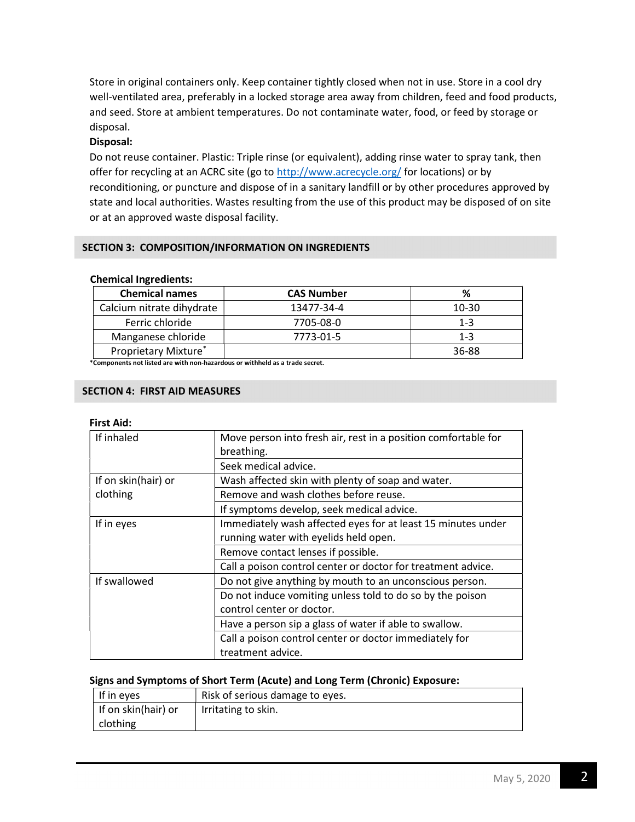Store in original containers only. Keep container tightly closed when not in use. Store in a cool dry well-ventilated area, preferably in a locked storage area away from children, feed and food products, and seed. Store at ambient temperatures. Do not contaminate water, food, or feed by storage or disposal.

# Disposal:

Do not reuse container. Plastic: Triple rinse (or equivalent), adding rinse water to spray tank, then offer for recycling at an ACRC site (go to http://www.acrecycle.org/ for locations) or by reconditioning, or puncture and dispose of in a sanitary landfill or by other procedures approved by state and local authorities. Wastes resulting from the use of this product may be disposed of on site or at an approved waste disposal facility.

# SECTION 3: COMPOSITION/INFORMATION ON INGREDIENTS

## Chemical Ingredients:

| <b>Chemical names</b>     | <b>CAS Number</b> | %       |
|---------------------------|-------------------|---------|
| Calcium nitrate dihydrate | 13477-34-4        | 10-30   |
| Ferric chloride           | 7705-08-0         | $1 - 3$ |
| Manganese chloride        | 7773-01-5         | $1 - 3$ |
| Proprietary Mixture*      |                   | 36-88   |

\*Components not listed are with non-hazardous or withheld as a trade secret.

# SECTION 4: FIRST AID MEASURES

# First Aid:

| If inhaled          | Move person into fresh air, rest in a position comfortable for<br>breathing.           |
|---------------------|----------------------------------------------------------------------------------------|
|                     | Seek medical advice.                                                                   |
| If on skin(hair) or | Wash affected skin with plenty of soap and water.                                      |
| clothing            | Remove and wash clothes before reuse.                                                  |
|                     | If symptoms develop, seek medical advice.                                              |
| If in eyes          | Immediately wash affected eyes for at least 15 minutes under                           |
|                     | running water with eyelids held open.                                                  |
|                     | Remove contact lenses if possible.                                                     |
|                     | Call a poison control center or doctor for treatment advice.                           |
| If swallowed        | Do not give anything by mouth to an unconscious person.                                |
|                     | Do not induce vomiting unless told to do so by the poison<br>control center or doctor. |
|                     | Have a person sip a glass of water if able to swallow.                                 |
|                     | Call a poison control center or doctor immediately for<br>treatment advice.            |

# Signs and Symptoms of Short Term (Acute) and Long Term (Chronic) Exposure:

| If in eyes          | Risk of serious damage to eyes. |
|---------------------|---------------------------------|
| If on skin(hair) or | Irritating to skin.             |
| clothing            |                                 |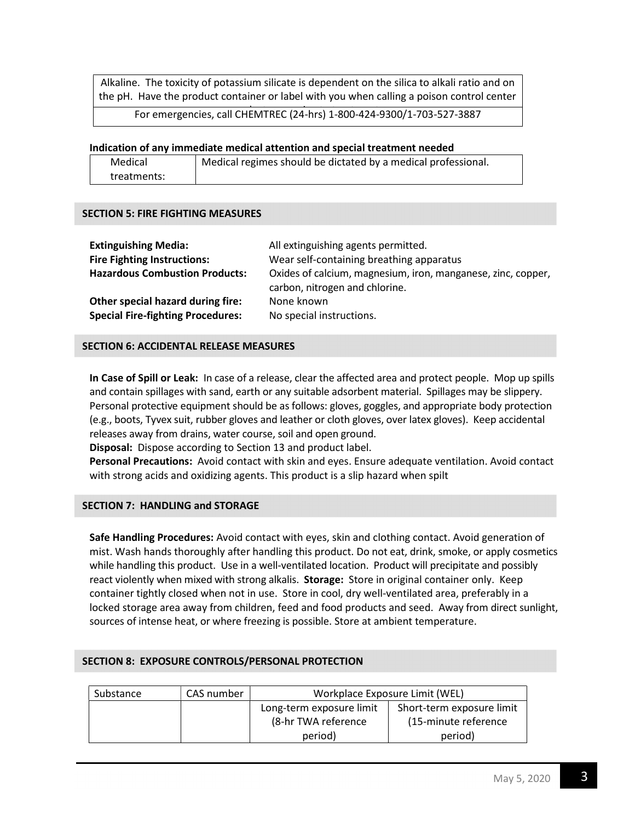Alkaline. The toxicity of potassium silicate is dependent on the silica to alkali ratio and on the pH. Have the product container or label with you when calling a poison control center

For emergencies, call CHEMTREC (24-hrs) 1-800-424-9300/1-703-527-3887

## Indication of any immediate medical attention and special treatment needed

| Medical     | Medical regimes should be dictated by a medical professional. |
|-------------|---------------------------------------------------------------|
| treatments: |                                                               |

## SECTION 5: FIRE FIGHTING MEASURES

| <b>Extinguishing Media:</b>                                                   | All extinguishing agents permitted.                                                            |
|-------------------------------------------------------------------------------|------------------------------------------------------------------------------------------------|
| <b>Fire Fighting Instructions:</b>                                            | Wear self-containing breathing apparatus                                                       |
| <b>Hazardous Combustion Products:</b>                                         | Oxides of calcium, magnesium, iron, manganese, zinc, copper,<br>carbon, nitrogen and chlorine. |
| Other special hazard during fire:<br><b>Special Fire-fighting Procedures:</b> | None known<br>No special instructions.                                                         |

## SECTION 6: ACCIDENTAL RELEASE MEASURES

In Case of Spill or Leak: In case of a release, clear the affected area and protect people. Mop up spills and contain spillages with sand, earth or any suitable adsorbent material. Spillages may be slippery. Personal protective equipment should be as follows: gloves, goggles, and appropriate body protection (e.g., boots, Tyvex suit, rubber gloves and leather or cloth gloves, over latex gloves). Keep accidental releases away from drains, water course, soil and open ground.

Disposal: Dispose according to Section 13 and product label.

Personal Precautions: Avoid contact with skin and eyes. Ensure adequate ventilation. Avoid contact with strong acids and oxidizing agents. This product is a slip hazard when spilt

# SECTION 7: HANDLING and STORAGE

Safe Handling Procedures: Avoid contact with eyes, skin and clothing contact. Avoid generation of mist. Wash hands thoroughly after handling this product. Do not eat, drink, smoke, or apply cosmetics while handling this product. Use in a well-ventilated location. Product will precipitate and possibly react violently when mixed with strong alkalis. Storage: Store in original container only. Keep container tightly closed when not in use. Store in cool, dry well-ventilated area, preferably in a locked storage area away from children, feed and food products and seed. Away from direct sunlight, sources of intense heat, or where freezing is possible. Store at ambient temperature.

#### SECTION 8: EXPOSURE CONTROLS/PERSONAL PROTECTION

| Substance | CAS number | Workplace Exposure Limit (WEL) |                           |
|-----------|------------|--------------------------------|---------------------------|
|           |            | Long-term exposure limit       | Short-term exposure limit |
|           |            | (8-hr TWA reference            | (15-minute reference)     |
|           |            | period)                        | period)                   |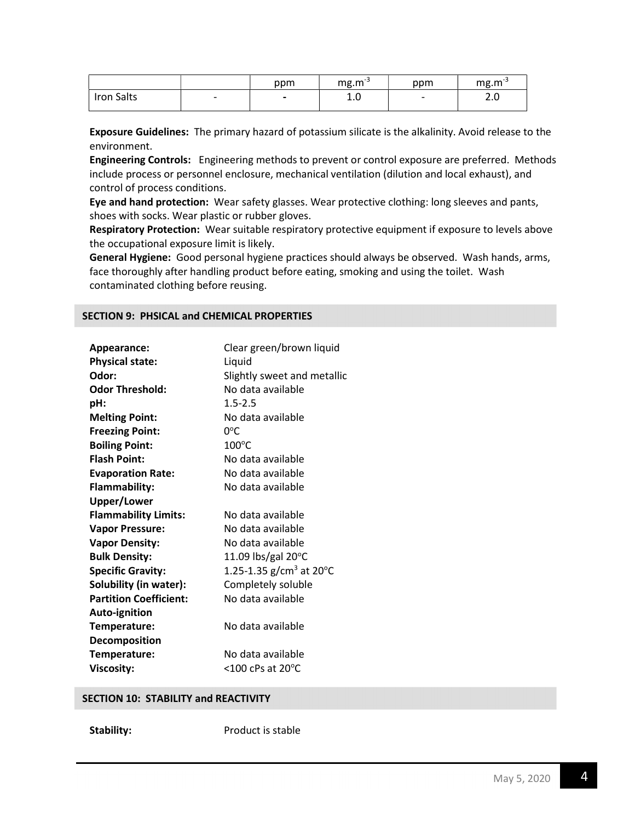|            |                          | ppm                      | $mg.m^{-3}$ | ppm                      | $mg.m^{-3}$   |
|------------|--------------------------|--------------------------|-------------|--------------------------|---------------|
| Iron Salts | $\overline{\phantom{0}}$ | $\overline{\phantom{0}}$ | ⊥.∪         | $\overline{\phantom{0}}$ | $\sim$<br>۷.J |

Exposure Guidelines: The primary hazard of potassium silicate is the alkalinity. Avoid release to the environment.

Engineering Controls: Engineering methods to prevent or control exposure are preferred. Methods include process or personnel enclosure, mechanical ventilation (dilution and local exhaust), and control of process conditions.

Eye and hand protection: Wear safety glasses. Wear protective clothing: long sleeves and pants, shoes with socks. Wear plastic or rubber gloves.

Respiratory Protection: Wear suitable respiratory protective equipment if exposure to levels above the occupational exposure limit is likely.

General Hygiene: Good personal hygiene practices should always be observed. Wash hands, arms, face thoroughly after handling product before eating, smoking and using the toilet. Wash contaminated clothing before reusing.

#### SECTION 9: PHSICAL and CHEMICAL PROPERTIES

| Appearance:                   | Clear green/brown liquid                         |
|-------------------------------|--------------------------------------------------|
| <b>Physical state:</b>        | Liquid                                           |
| Odor:                         | Slightly sweet and metallic                      |
| <b>Odor Threshold:</b>        | No data available                                |
|                               |                                                  |
| pH:                           | $1.5 - 2.5$                                      |
| <b>Melting Point:</b>         | No data available                                |
| <b>Freezing Point:</b>        | $0^{\circ}$ C                                    |
| <b>Boiling Point:</b>         | $100^{\circ}$ C                                  |
| <b>Flash Point:</b>           | No data available                                |
| <b>Evaporation Rate:</b>      | No data available                                |
| <b>Flammability:</b>          | No data available                                |
| <b>Upper/Lower</b>            |                                                  |
| <b>Flammability Limits:</b>   | No data available                                |
| <b>Vapor Pressure:</b>        | No data available                                |
| <b>Vapor Density:</b>         | No data available                                |
| <b>Bulk Density:</b>          | 11.09 lbs/gal $20^{\circ}$ C                     |
| <b>Specific Gravity:</b>      | 1.25-1.35 g/cm <sup>3</sup> at 20 <sup>o</sup> C |
| Solubility (in water):        | Completely soluble                               |
| <b>Partition Coefficient:</b> | No data available                                |
| Auto-ignition                 |                                                  |
| Temperature:                  | No data available                                |
| Decomposition                 |                                                  |
| Temperature:                  | No data available                                |
| <b>Viscosity:</b>             | $<$ 100 cPs at 20 $^{\circ}$ C                   |

#### SECTION 10: STABILITY and REACTIVITY

Stability: Product is stable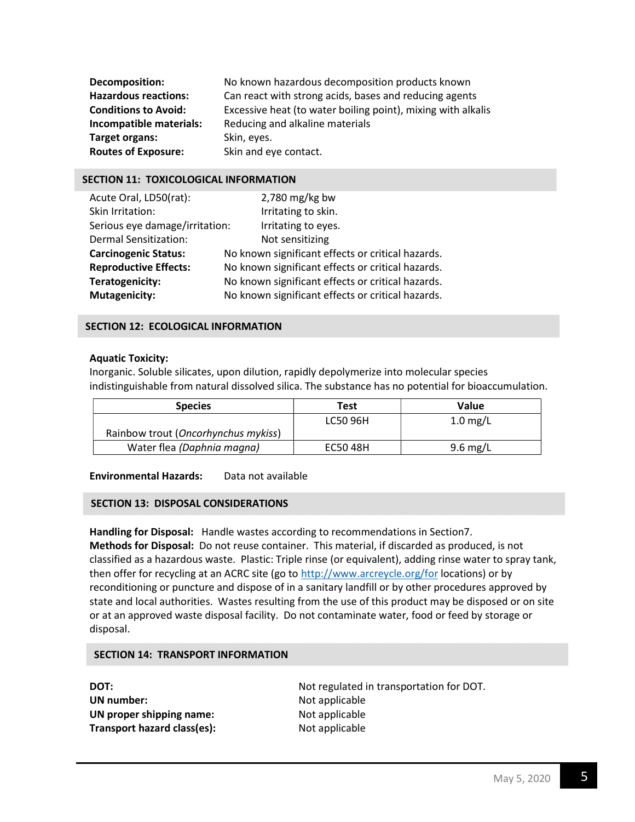| <b>Decomposition:</b>       | No known hazardous decomposition products known              |
|-----------------------------|--------------------------------------------------------------|
| <b>Hazardous reactions:</b> | Can react with strong acids, bases and reducing agents       |
| <b>Conditions to Avoid:</b> | Excessive heat (to water boiling point), mixing with alkalis |
| Incompatible materials:     | Reducing and alkaline materials                              |
| Target organs:              | Skin, eyes.                                                  |
| <b>Routes of Exposure:</b>  | Skin and eye contact.                                        |

## SECTION 11: TOXICOLOGICAL INFORMATION

| Acute Oral, LD50(rat):         | $2,780$ mg/kg bw                                  |
|--------------------------------|---------------------------------------------------|
| Skin Irritation:               | Irritating to skin.                               |
| Serious eye damage/irritation: | Irritating to eyes.                               |
| <b>Dermal Sensitization:</b>   | Not sensitizing                                   |
| <b>Carcinogenic Status:</b>    | No known significant effects or critical hazards. |
| <b>Reproductive Effects:</b>   | No known significant effects or critical hazards. |
| Teratogenicity:                | No known significant effects or critical hazards. |
| <b>Mutagenicity:</b>           | No known significant effects or critical hazards. |

# SECTION 12: ECOLOGICAL INFORMATION

## Aquatic Toxicity:

Inorganic. Soluble silicates, upon dilution, rapidly depolymerize into molecular species indistinguishable from natural dissolved silica. The substance has no potential for bioaccumulation.

| <b>Species</b>                      | Test     | Value              |
|-------------------------------------|----------|--------------------|
|                                     | LC50 96H | $1.0 \text{ mg/L}$ |
| Rainbow trout (Oncorhynchus mykiss) |          |                    |
| Water flea (Daphnia magna)          | EC50 48H | $9.6 \text{ mg/L}$ |

#### Environmental Hazards: Data not available

#### SECTION 13: DISPOSAL CONSIDERATIONS

Handling for Disposal: Handle wastes according to recommendations in Section7. Methods for Disposal: Do not reuse container. This material, if discarded as produced, is not classified as a hazardous waste. Plastic: Triple rinse (or equivalent), adding rinse water to spray tank, then offer for recycling at an ACRC site (go to http://www.arcreycle.org/for locations) or by reconditioning or puncture and dispose of in a sanitary landfill or by other procedures approved by state and local authorities. Wastes resulting from the use of this product may be disposed or on site or at an approved waste disposal facility. Do not contaminate water, food or feed by storage or disposal.

#### SECTION 14: TRANSPORT INFORMATION

| DOT:                        |
|-----------------------------|
| <b>UN</b> number:           |
| UN proper shipping name:    |
| Transport hazard class(es): |

Not regulated in transportation for DOT. Not applicable Not applicable Not applicable